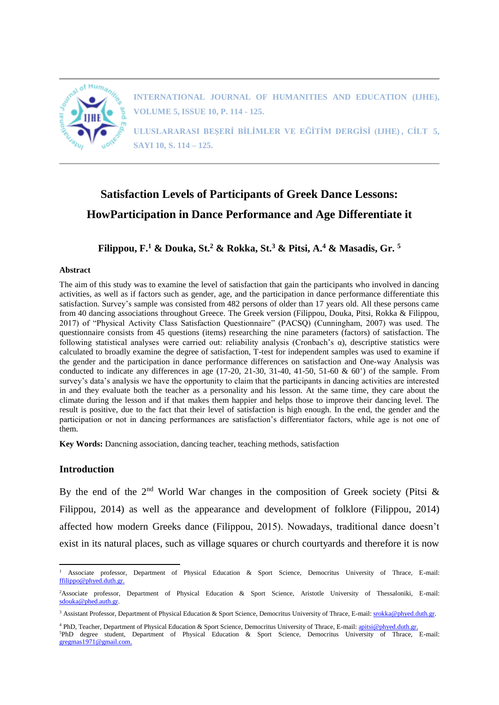

**INTERNATIONAL JOURNAL OF HUMANITIES AND EDUCATION (IJHE), VOLUME 5, ISSUE 10, P. 114 - 125.**

**ULUSLARARASI BEŞERİ BİLİMLER VE EĞİTİM DERGİSİ (IJHE) , CİLT 5, SAYI 10, S. 114 – 125.**

# **Satisfaction Levels of Participants of Greek Dance Lessons: HowParticipation in Dance Performance and Age Differentiate it**

**Filippou, F.<sup>1</sup> & Douka, St.<sup>2</sup> & Rokka, St.<sup>3</sup> & Pitsi, A.<sup>4</sup> & Masadis, Gr. <sup>5</sup>**

#### **Abstract**

The aim of this study was to examine the level of satisfaction that gain the participants who involved in dancing activities, as well as if factors such as gender, age, and the participation in dance performance differentiate this satisfaction. Survey's sample was consisted from 482 persons of older than 17 years old. All these persons came from 40 dancing associations throughout Greece. The Greek version (Filippou, Douka, Pitsi, Rokka & Filippou, 2017) of "Physical Activity Class Satisfaction Questionnaire" (PACSQ) (Cunningham, 2007) was used. The questionnaire consists from 45 questions (items) researching the nine parameters (factors) of satisfaction. The following statistical analyses were carried out: reliability analysis (Cronbach's α), descriptive statistics were calculated to broadly examine the degree of satisfaction, T-test for independent samples was used to examine if the gender and the participation in dance performance differences on satisfaction and One-way Analysis was conducted to indicate any differences in age  $(17-20, 21-30, 31-40, 41-50, 51-60 \& 60^+)$  of the sample. From survey's data's analysis we have the opportunity to claim that the participants in dancing activities are interested in and they evaluate both the teacher as a personality and his lesson. At the same time, they care about the climate during the lesson and if that makes them happier and helps those to improve their dancing level. The result is positive, due to the fact that their level of satisfaction is high enough. In the end, the gender and the participation or not in dancing performances are satisfaction's differentiator factors, while age is not one of them.

**Key Words:** Dancning association, dancing teacher, teaching methods, satisfaction

#### **Introduction**

 $\overline{a}$ 

By the end of the  $2<sup>nd</sup>$  World War changes in the composition of Greek society (Pitsi & Filippou, 2014) as well as the appearance and development of folklore (Filippou, 2014) affected how modern Greeks dance (Filippou, 2015). Nowadays, traditional dance doesn't exist in its natural places, such as village squares or church courtyards and therefore it is now

<sup>&</sup>lt;sup>1</sup> Associate professor, Department of Physical Education & Sport Science, Democritus University of Thrace, E-mail: [ffilippo@phyed.duth.gr.](mailto:ffilippo@phyed.duth.gr)

<sup>&</sup>lt;sup>2</sup>Associate professor, Department of Physical Education & Sport Science, Aristotle University of Thessaloniki, E-mail: [sdouka@phed.auth.gr.](mailto:sdouka@phed.auth.gr)

<sup>&</sup>lt;sup>3</sup> Assistant Professor, Department of Physical Education & Sport Science, Democritus University of Thrace, E-mail: [srokka@phyed.duth.gr.](mailto:srokka@phyed.duth.gr)

<sup>4</sup> PhD, Teacher, Department of Physical Education & Sport Science, Democritus University of Thrace, E-mail[: apitsi@phyed.duth.gr.](mailto:apitsi@phyed.duth.gr)

<sup>5</sup>PhD degree student, Department of Physical Education & Sport Science, Democritus University of Thrace, E-mail: [gregmas1971@gmail.com.](mailto:gregmas1971@gmail.com)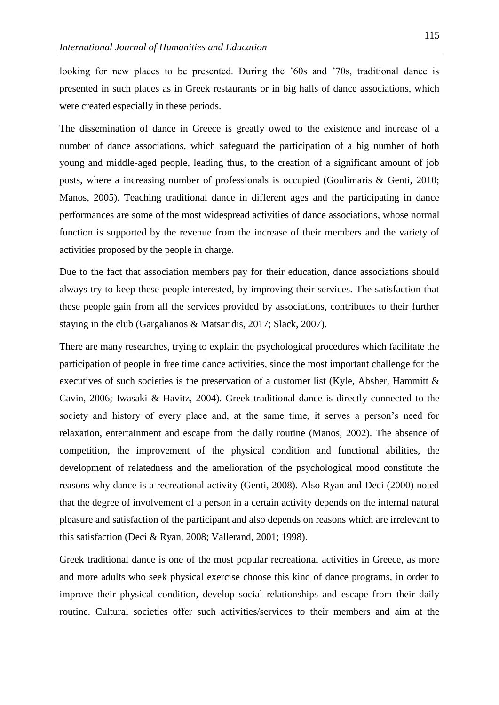looking for new places to be presented. During the '60s and '70s, traditional dance is presented in such places as in Greek restaurants or in big halls of dance associations, which were created especially in these periods.

The dissemination of dance in Greece is greatly owed to the existence and increase of a number of dance associations, which safeguard the participation of a big number of both young and middle-aged people, leading thus, to the creation of a significant amount of job posts, where a increasing number of professionals is occupied (Goulimaris & Genti, 2010; Manos, 2005). Teaching traditional dance in different ages and the participating in dance performances are some of the most widespread activities of dance associations, whose normal function is supported by the revenue from the increase of their members and the variety of activities proposed by the people in charge.

Due to the fact that association members pay for their education, dance associations should always try to keep these people interested, by improving their services. The satisfaction that these people gain from all the services provided by associations, contributes to their further staying in the club (Gargalianos & Matsaridis, 2017; Slack, 2007).

There are many researches, trying to explain the psychological procedures which facilitate the participation of people in free time dance activities, since the most important challenge for the executives of such societies is the preservation of a customer list (Kyle, Absher, Hammitt & Cavin, 2006; Iwasaki & Havitz, 2004). Greek traditional dance is directly connected to the society and history of every place and, at the same time, it serves a person's need for relaxation, entertainment and escape from the daily routine (Manos, 2002). The absence of competition, the improvement of the physical condition and functional abilities, the development of relatedness and the amelioration of the psychological mood constitute the reasons why dance is a recreational activity (Genti, 2008). Also Ryan and Deci (2000) noted that the degree of involvement of a person in a certain activity depends on the internal natural pleasure and satisfaction of the participant and also depends on reasons which are irrelevant to this satisfaction (Deci & Ryan, 2008; Vallerand, 2001; 1998).

Greek traditional dance is one of the most popular recreational activities in Greece, as more and more adults who seek physical exercise choose this kind of dance programs, in order to improve their physical condition, develop social relationships and escape from their daily routine. Cultural societies offer such activities/services to their members and aim at the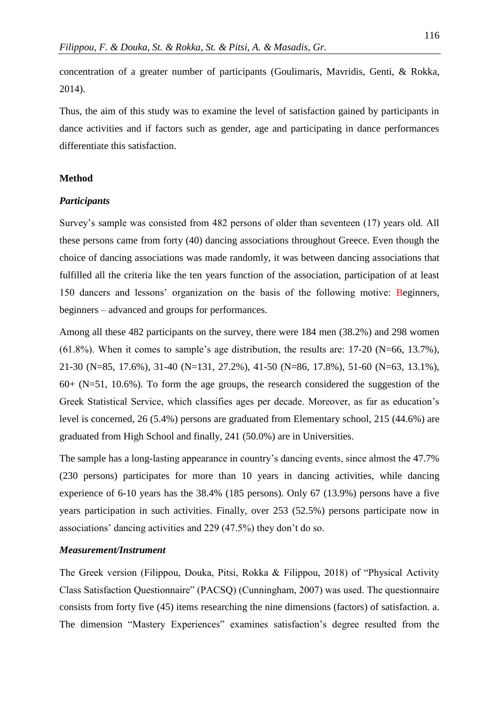concentration of a greater number of participants (Goulimaris, Mavridis, Genti, & Rokka, 2014).

Thus, the aim of this study was to examine the level of satisfaction gained by participants in dance activities and if factors such as gender, age and participating in dance performances differentiate this satisfaction.

# **Method**

#### *Participants*

Survey's sample was consisted from 482 persons of older than seventeen (17) years old. All these persons came from forty (40) dancing associations throughout Greece. Even though the choice of dancing associations was made randomly, it was between dancing associations that fulfilled all the criteria like the ten years function of the association, participation of at least 150 dancers and lessons' organization on the basis of the following motive: Beginners, beginners – advanced and groups for performances.

Among all these 482 participants on the survey, there were 184 men (38.2%) and 298 women  $(61.8\%)$ . When it comes to sample's age distribution, the results are: 17-20 (N=66, 13.7%), 21-30 (N=85, 17.6%), 31-40 (N=131, 27.2%), 41-50 (N=86, 17.8%), 51-60 (N=63, 13.1%),  $60+$  (N=51, 10.6%). To form the age groups, the research considered the suggestion of the Greek Statistical Service, which classifies ages per decade. Moreover, as far as education's level is concerned, 26 (5.4%) persons are graduated from Elementary school, 215 (44.6%) are graduated from High School and finally, 241 (50.0%) are in Universities.

The sample has a long-lasting appearance in country's dancing events, since almost the 47.7% (230 persons) participates for more than 10 years in dancing activities, while dancing experience of 6-10 years has the 38.4% (185 persons). Only 67 (13.9%) persons have a five years participation in such activities. Finally, over 253 (52.5%) persons participate now in associations' dancing activities and 229 (47.5%) they don't do so.

## *Measurement/Instrument*

The Greek version (Filippou, Douka, Pitsi, Rokka & Filippou, 2018) of "Physical Activity Class Satisfaction Questionnaire" (PACSQ) (Cunningham, 2007) was used. The questionnaire consists from forty five (45) items researching the nine dimensions (factors) of satisfaction. a. The dimension "Mastery Experiences" examines satisfaction's degree resulted from the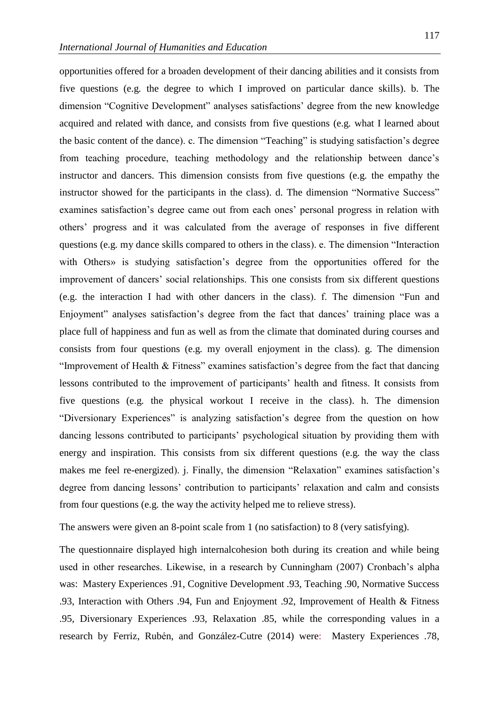opportunities offered for a broaden development of their dancing abilities and it consists from five questions (e.g*.* the degree to which I improved on particular dance skills). b. The dimension "Cognitive Development" analyses satisfactions' degree from the new knowledge acquired and related with dance, and consists from five questions (e.g*.* what I learned about the basic content of the dance). c. The dimension "Teaching" is studying satisfaction's degree from teaching procedure, teaching methodology and the relationship between dance's instructor and dancers. This dimension consists from five questions (e.g*.* the empathy the instructor showed for the participants in the class). d. The dimension "Normative Success" examines satisfaction's degree came out from each ones' personal progress in relation with others' progress and it was calculated from the average of responses in five different questions (e.g*.* my dance skills compared to others in the class). e. The dimension "Interaction with Others» is studying satisfaction's degree from the opportunities offered for the improvement of dancers' social relationships. This one consists from six different questions (e.g. the interaction I had with other dancers in the class). f. The dimension "Fun and Enjoyment" analyses satisfaction's degree from the fact that dances' training place was a place full of happiness and fun as well as from the climate that dominated during courses and consists from four questions (e.g*.* my overall enjoyment in the class). g. The dimension "Improvement of Health & Fitness" examines satisfaction's degree from the fact that dancing lessons contributed to the improvement of participants' health and fitness. It consists from five questions (e.g*.* the physical workout I receive in the class). h. The dimension "Diversionary Experiences" is analyzing satisfaction's degree from the question on how dancing lessons contributed to participants' psychological situation by providing them with energy and inspiration. This consists from six different questions (e.g*.* the way the class makes me feel re-energized). j. Finally, the dimension "Relaxation" examines satisfaction's degree from dancing lessons' contribution to participants' relaxation and calm and consists from four questions (e.g*.* the way the activity helped me to relieve stress).

The answers were given an 8-point scale from 1 (no satisfaction) to 8 (very satisfying).

The questionnaire displayed high internalcohesion both during its creation and while being used in other researches. Likewise, in a research by Cunningham (2007) Cronbach's alpha was: Mastery Experiences .91, Cognitive Development .93, Teaching .90, Normative Success .93, Interaction with Others .94, Fun and Enjoyment .92, Improvement of Health & Fitness .95, Diversionary Experiences .93, Relaxation .85, while the corresponding values in a research by Ferriz, Rubén, and González-Cutre (2014) were: Mastery Experiences .78,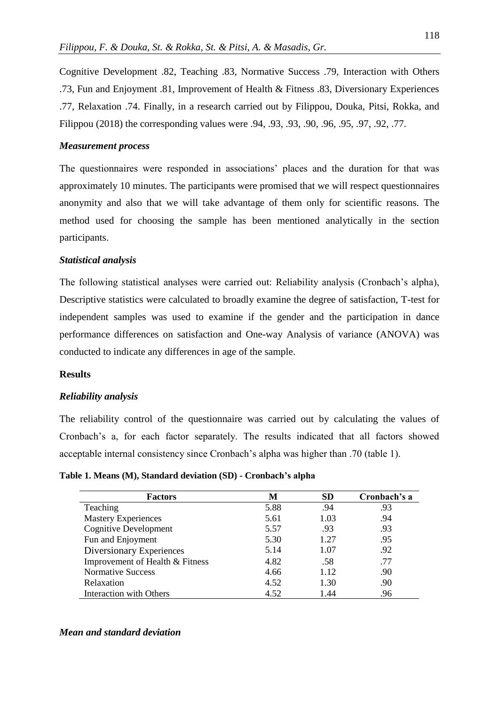Cognitive Development .82, Teaching .83, Normative Success .79, Interaction with Others .73, Fun and Enjoyment .81, Improvement of Health & Fitness .83, Diversionary Experiences .77, Relaxation .74. Finally, in a research carried out by Filippou, Douka, Pitsi, Rokka, and Filippou (2018) the corresponding values were .94, .93, .93, .90, .96, .95, .97, .92, .77.

# *Measurement process*

The questionnaires were responded in associations' places and the duration for that was approximately 10 minutes. The participants were promised that we will respect questionnaires anonymity and also that we will take advantage of them only for scientific reasons. The method used for choosing the sample has been mentioned analytically in the section participants.

# *Statistical analysis*

The following statistical analyses were carried out: Reliability analysis (Cronbach's alpha), Descriptive statistics were calculated to broadly examine the degree of satisfaction, T-test for independent samples was used to examine if the gender and the participation in dance performance differences on satisfaction and One-way Analysis of variance (ANOVA) was conducted to indicate any differences in age of the sample.

#### **Results**

#### *Reliability analysis*

The reliability control of the questionnaire was carried out by calculating the values of Cronbach's a, for each factor separately. The results indicated that all factors showed acceptable internal consistency since Cronbach's alpha was higher than .70 (table 1).

**Table 1. Means (M), Standard deviation (SD) - Cronbach's alpha**

| <b>Factors</b>                  | M    | <b>SD</b> | Cronbach's a |
|---------------------------------|------|-----------|--------------|
| Teaching                        | 5.88 | .94       | .93          |
| <b>Mastery Experiences</b>      | 5.61 | 1.03      | .94          |
| <b>Cognitive Development</b>    | 5.57 | .93       | .93          |
| Fun and Enjoyment               | 5.30 | 1.27      | .95          |
| Diversionary Experiences        | 5.14 | 1.07      | .92          |
| Improvement of Health & Fitness | 4.82 | .58       | .77          |
| <b>Normative Success</b>        | 4.66 | 1.12      | .90          |
| Relaxation                      | 4.52 | 1.30      | .90          |
| Interaction with Others         | 4.52 | 1.44      | .96          |

#### *Mean and standard deviation*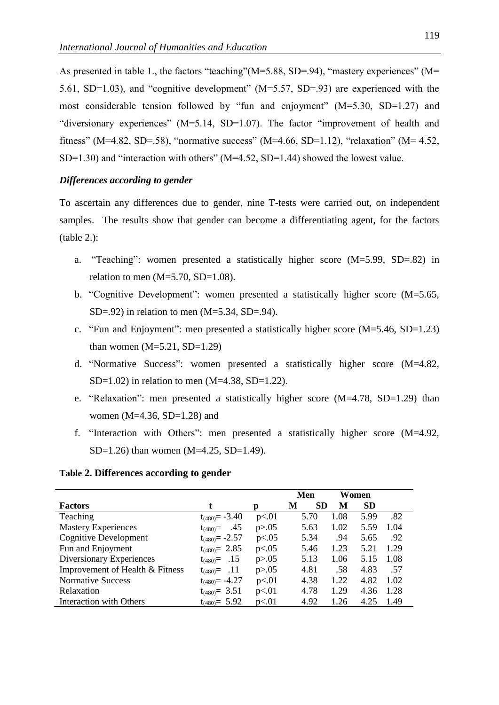As presented in table 1., the factors "teaching" (M=5.88, SD=.94), "mastery experiences" (M= 5.61, SD=1.03), and "cognitive development" (M=5.57, SD=.93) are experienced with the most considerable tension followed by "fun and enjoyment" (M=5.30, SD=1.27) and "diversionary experiences" (M=5.14, SD=1.07). The factor "improvement of health and fitness" (M=4.82, SD=.58), "normative success" (M=4.66, SD=1.12), "relaxation" (M= 4.52, SD=1.30) and "interaction with others" (M=4.52, SD=1.44) showed the lowest value.

# *Differences according to gender*

To ascertain any differences due to gender, nine T-tests were carried out, on independent samples. The results show that gender can become a differentiating agent, for the factors  $(table 2.):$ 

- a. "Teaching": women presented a statistically higher score (M=5.99, SD=.82) in relation to men  $(M=5.70, SD=1.08)$ .
- b. "Cognitive Development": women presented a statistically higher score (M=5.65,  $SD=.92$ ) in relation to men  $(M=5.34, SD=.94)$ .
- c. "Fun and Enjoyment": men presented a statistically higher score (M=5.46, SD=1.23) than women  $(M=5.21, SD=1.29)$
- d. "Normative Success": women presented a statistically higher score (M=4.82,  $SD=1.02$ ) in relation to men  $(M=4.38, SD=1.22)$ .
- e. "Relaxation": men presented a statistically higher score (M=4.78, SD=1.29) than women ( $M=4.36$ ,  $SD=1.28$ ) and
- f. "Interaction with Others": men presented a statistically higher score (M=4.92, SD=1.26) than women (M=4.25, SD=1.49).

# **Table 2. Differences according to gender**

|                                 |                     |          | Men            |      | Women     |      |  |
|---------------------------------|---------------------|----------|----------------|------|-----------|------|--|
| <b>Factors</b>                  | t                   | Ŋ        | <b>SD</b><br>M | М    | <b>SD</b> |      |  |
| Teaching                        | $t_{(480)} = -3.40$ | p<.01    | 5.70           | 1.08 | 5.99      | .82  |  |
| <b>Mastery Experiences</b>      | .45<br>$t_{(480)}=$ | p > 0.05 | 5.63           | 1.02 | 5.59      | 1.04 |  |
| <b>Cognitive Development</b>    | $t_{(480)} = -2.57$ | p<.05    | 5.34           | .94  | 5.65      | .92  |  |
| Fun and Enjoyment               | $t_{(480)} = 2.85$  | p<.05    | 5.46           | 1.23 | 5.21      | 1.29 |  |
| Diversionary Experiences        | $t_{(480)} = .15$   | p > 0.05 | 5.13           | 1.06 | 5.15      | 1.08 |  |
| Improvement of Health & Fitness | $t_{(480)} = .11$   | p > 0.05 | 4.81           | .58  | 4.83      | .57  |  |
| <b>Normative Success</b>        | $t_{(480)} = -4.27$ | p<.01    | 4.38           | 1.22 | 4.82      | 1.02 |  |
| Relaxation                      | $t_{(480)} = 3.51$  | p<.01    | 4.78           | 1.29 | 4.36      | 1.28 |  |
| <b>Interaction with Others</b>  | $t_{(480)} = 5.92$  | p<.01    | 4.92           | 1.26 | 4.25      | 1.49 |  |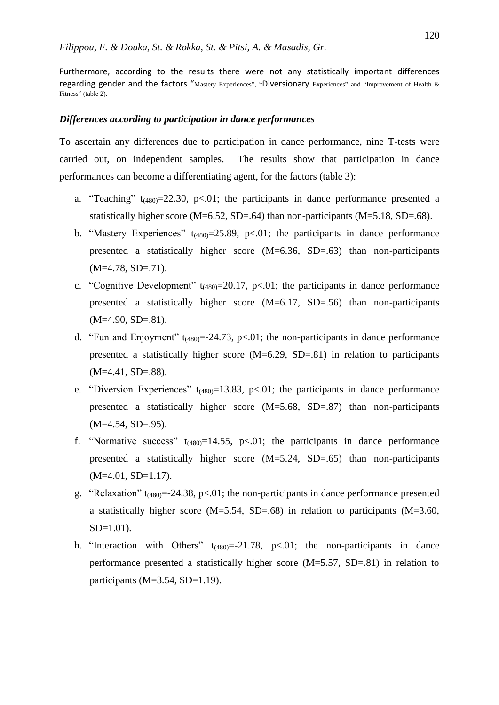Furthermore, according to the results there were not any statistically important differences regarding gender and the factors "Mastery Experiences", "Diversionary Experiences" and "Improvement of Health & Fitness" (table 2).

#### *Differences according to participation in dance performances*

To ascertain any differences due to participation in dance performance, nine T-tests were carried out, on independent samples. The results show that participation in dance performances can become a differentiating agent, for the factors (table 3):

- a. "Teaching"  $t_{(480)} = 22.30$ , p<.01; the participants in dance performance presented a statistically higher score ( $M=6.52$ ,  $SD=.64$ ) than non-participants ( $M=5.18$ ,  $SD=.68$ ).
- b. "Mastery Experiences"  $t_{(480)} = 25.89$ , p<.01; the participants in dance performance presented a statistically higher score (M=6.36, SD=.63) than non-participants  $(M=4.78, SD=.71)$ .
- c. "Cognitive Development"  $t_{(480)} = 20.17$ , p<.01; the participants in dance performance presented a statistically higher score (M=6.17, SD=.56) than non-participants  $(M=4.90, SD=.81)$ .
- d. "Fun and Enjoyment"  $t_{(480)} = -24.73$ , p<.01; the non-participants in dance performance presented a statistically higher score  $(M=6.29, SD=.81)$  in relation to participants  $(M=4.41, SD=.88)$ .
- e. "Diversion Experiences"  $t_{(480)}$ =13.83, p<.01; the participants in dance performance presented a statistically higher score (M=5.68, SD=.87) than non-participants  $(M=4.54, SD=.95)$ .
- f. "Normative success"  $t_{(480)}=14.55$ , p<.01; the participants in dance performance presented a statistically higher score (M=5.24, SD=.65) than non-participants  $(M=4.01, SD=1.17).$
- g. "Relaxation"  $t_{(480)} = -24.38$ , p<.01; the non-participants in dance performance presented a statistically higher score (M=5.54, SD=.68) in relation to participants (M=3.60,  $SD=1.01$ ).
- h. "Interaction with Others"  $t_{(480)}=-21.78$ , p<.01; the non-participants in dance performance presented a statistically higher score (M=5.57, SD=.81) in relation to participants (M=3.54, SD=1.19).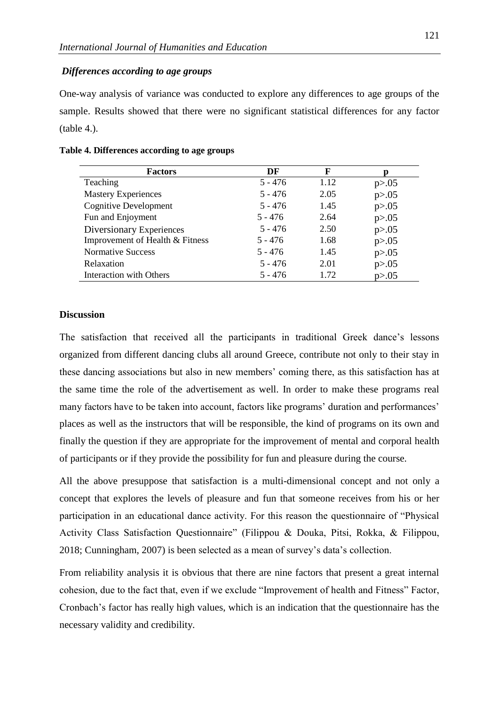# *Differences according to age groups*

One-way analysis of variance was conducted to explore any differences to age groups of the sample. Results showed that there were no significant statistical differences for any factor (table 4.).

| <b>Factors</b>                  | DF        | F    |          |
|---------------------------------|-----------|------|----------|
| Teaching                        | $5 - 476$ | 1.12 | p > 0.05 |
| <b>Mastery Experiences</b>      | $5 - 476$ | 2.05 | p > 0.05 |
| <b>Cognitive Development</b>    | $5 - 476$ | 1.45 | p > 0.05 |
| Fun and Enjoyment               | $5 - 476$ | 2.64 | p > 0.05 |
| Diversionary Experiences        | $5 - 476$ | 2.50 | p > 0.05 |
| Improvement of Health & Fitness | $5 - 476$ | 1.68 | p > 0.05 |
| <b>Normative Success</b>        | $5 - 476$ | 1.45 | p > 0.05 |
| Relaxation                      | $5 - 476$ | 2.01 | p > 0.05 |
| Interaction with Others         | $5 - 476$ | 1.72 | p > 0.05 |

#### **Table 4. Differences according to age groups**

#### **Discussion**

The satisfaction that received all the participants in traditional Greek dance's lessons organized from different dancing clubs all around Greece, contribute not only to their stay in these dancing associations but also in new members' coming there, as this satisfaction has at the same time the role of the advertisement as well. In order to make these programs real many factors have to be taken into account, factors like programs' duration and performances' places as well as the instructors that will be responsible, the kind of programs on its own and finally the question if they are appropriate for the improvement of mental and corporal health of participants or if they provide the possibility for fun and pleasure during the course.

All the above presuppose that satisfaction is a multi-dimensional concept and not only a concept that explores the levels of pleasure and fun that someone receives from his or her participation in an educational dance activity. For this reason the questionnaire of "Physical Activity Class Satisfaction Questionnaire" (Filippou & Douka, Pitsi, Rokka, & Filippou, 2018; Cunningham, 2007) is been selected as a mean of survey's data's collection.

From reliability analysis it is obvious that there are nine factors that present a great internal cohesion, due to the fact that, even if we exclude "Improvement of health and Fitness" Factor, Cronbach's factor has really high values, which is an indication that the questionnaire has the necessary validity and credibility.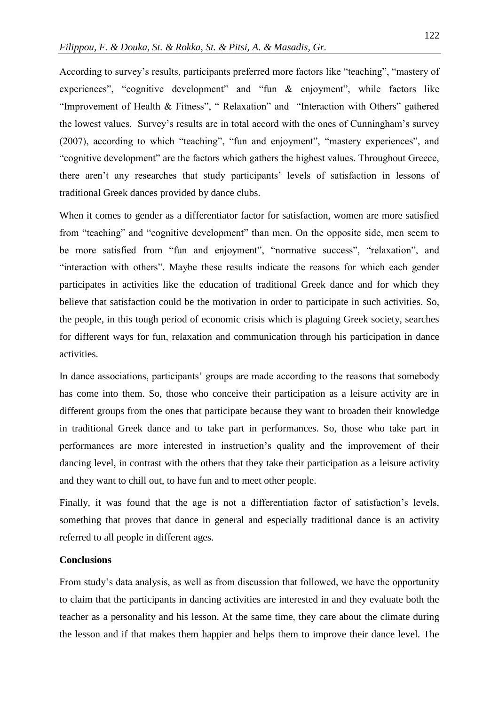According to survey's results, participants preferred more factors like "teaching", "mastery of experiences", "cognitive development" and "fun & enjoyment", while factors like "Improvement of Health & Fitness", " Relaxation" and "Interaction with Others" gathered the lowest values. Survey's results are in total accord with the ones of Cunningham's survey (2007), according to which "teaching", "fun and enjoyment", "mastery experiences", and "cognitive development" are the factors which gathers the highest values. Throughout Greece, there aren't any researches that study participants' levels of satisfaction in lessons of traditional Greek dances provided by dance clubs.

When it comes to gender as a differentiator factor for satisfaction, women are more satisfied from "teaching" and "cognitive development" than men. On the opposite side, men seem to be more satisfied from "fun and enjoyment", "normative success", "relaxation", and "interaction with others". Maybe these results indicate the reasons for which each gender participates in activities like the education of traditional Greek dance and for which they believe that satisfaction could be the motivation in order to participate in such activities. So, the people, in this tough period of economic crisis which is plaguing Greek society, searches for different ways for fun, relaxation and communication through his participation in dance activities.

In dance associations, participants' groups are made according to the reasons that somebody has come into them. So, those who conceive their participation as a leisure activity are in different groups from the ones that participate because they want to broaden their knowledge in traditional Greek dance and to take part in performances. So, those who take part in performances are more interested in instruction's quality and the improvement of their dancing level, in contrast with the others that they take their participation as a leisure activity and they want to chill out, to have fun and to meet other people.

Finally, it was found that the age is not a differentiation factor of satisfaction's levels, something that proves that dance in general and especially traditional dance is an activity referred to all people in different ages.

#### **Conclusions**

From study's data analysis, as well as from discussion that followed, we have the opportunity to claim that the participants in dancing activities are interested in and they evaluate both the teacher as a personality and his lesson. At the same time, they care about the climate during the lesson and if that makes them happier and helps them to improve their dance level. The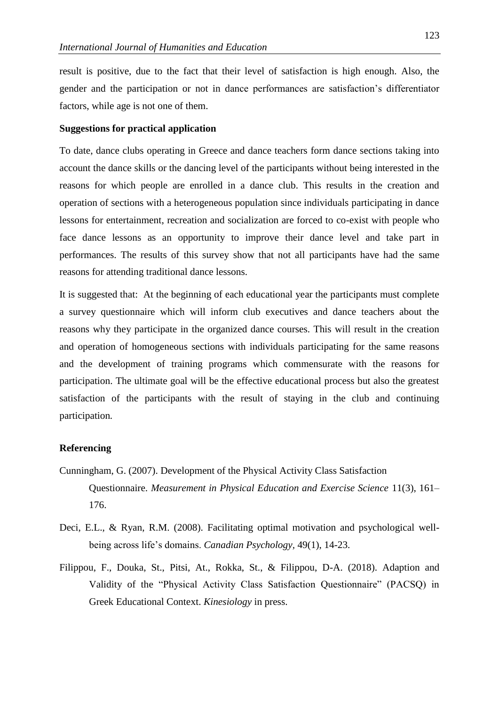result is positive, due to the fact that their level of satisfaction is high enough. Also, the gender and the participation or not in dance performances are satisfaction's differentiator factors, while age is not one of them.

## **Suggestions for practical application**

To date, dance clubs operating in Greece and dance teachers form dance sections taking into account the dance skills or the dancing level of the participants without being interested in the reasons for which people are enrolled in a dance club. This results in the creation and operation of sections with a heterogeneous population since individuals participating in dance lessons for entertainment, recreation and socialization are forced to co-exist with people who face dance lessons as an opportunity to improve their dance level and take part in performances. The results of this survey show that not all participants have had the same reasons for attending traditional dance lessons.

It is suggested that: At the beginning of each educational year the participants must complete a survey questionnaire which will inform club executives and dance teachers about the reasons why they participate in the organized dance courses. This will result in the creation and operation of homogeneous sections with individuals participating for the same reasons and the development of training programs which commensurate with the reasons for participation. The ultimate goal will be the effective educational process but also the greatest satisfaction of the participants with the result of staying in the club and continuing participation*.*

# **Referencing**

- Cunningham, G. (2007). Development of the Physical Activity Class Satisfaction Questionnaire. *Measurement in Physical Education and Exercise Science* 11(3), 161– 176.
- Deci, E.L., & Ryan, R.M. (2008). Facilitating optimal motivation and psychological wellbeing across life's domains. *Canadian Psychology,* 49(1), 14-23.
- Filippou, F., Douka, St., Pitsi, At., Rokka, St., & Filippou, D-A. (2018). Adaption and Validity of the "Physical Activity Class Satisfaction Questionnaire" (PACSQ) in Greek Educational Context. *Kinesiology* in press.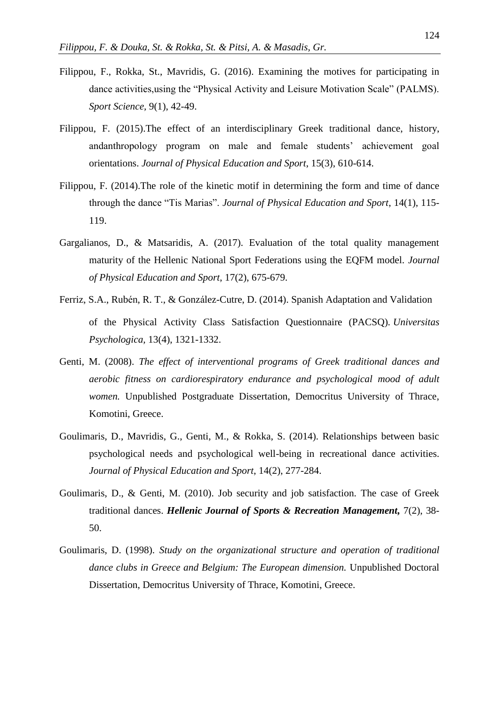- Filippou, F., Rokka, St., Mavridis, G. (2016). Examining the motives for participating in dance activities,using the "Physical Activity and Leisure Motivation Scale" (PALMS). *Sport Science,* 9(1), 42-49.
- Filippou, F. (2015).The effect of an interdisciplinary Greek traditional dance, history, andanthropology program on male and female students' achievement goal orientations. *Journal of Physical Education and Sport*, 15(3), 610-614.
- Filippou, F. (2014).The role of the kinetic motif in determining the form and time of dance through the dance "Tis Marias". *Journal of Physical Education and Sport*, 14(1), 115- 119.
- Gargalianos, D., & Matsaridis, A. (2017). Evaluation of the total quality management maturity of the Hellenic National Sport Federations using the EQFM model. *Journal of Physical Education and Sport*, 17(2), 675-679.
- Ferriz, S.A., Rubén, R. T., & González-Cutre, D. (2014). Spanish Adaptation and Validation of the Physical Activity Class Satisfaction Questionnaire (PACSQ)*. Universitas Psychologica,* 13(4), 1321-1332.
- Genti, M. (2008). *The effect of interventional programs of Greek traditional dances and aerobic fitness on cardiorespiratory endurance and psychological mood of adult women.* Unpublished Postgraduate Dissertation, Democritus University of Thrace, Komotini, Greece.
- Goulimaris, D., Mavridis, G., Genti, M., & Rokka, S. (2014). Relationships between basic psychological needs and psychological well-being in recreational dance activities. *Journal of Physical Education and Sport*, 14(2), 277-284.
- Goulimaris, D., & Genti, M. (2010). Job security and job satisfaction. The case of Greek traditional dances. *Hellenic Journal of Sports & Recreation Management,* 7(2), 38- 50.
- Goulimaris, D. (1998). *Study on the organizational structure and operation of traditional dance clubs in Greece and Belgium: The European dimension.* Unpublished Doctoral Dissertation, Democritus University of Thrace, Komotini, Greece.